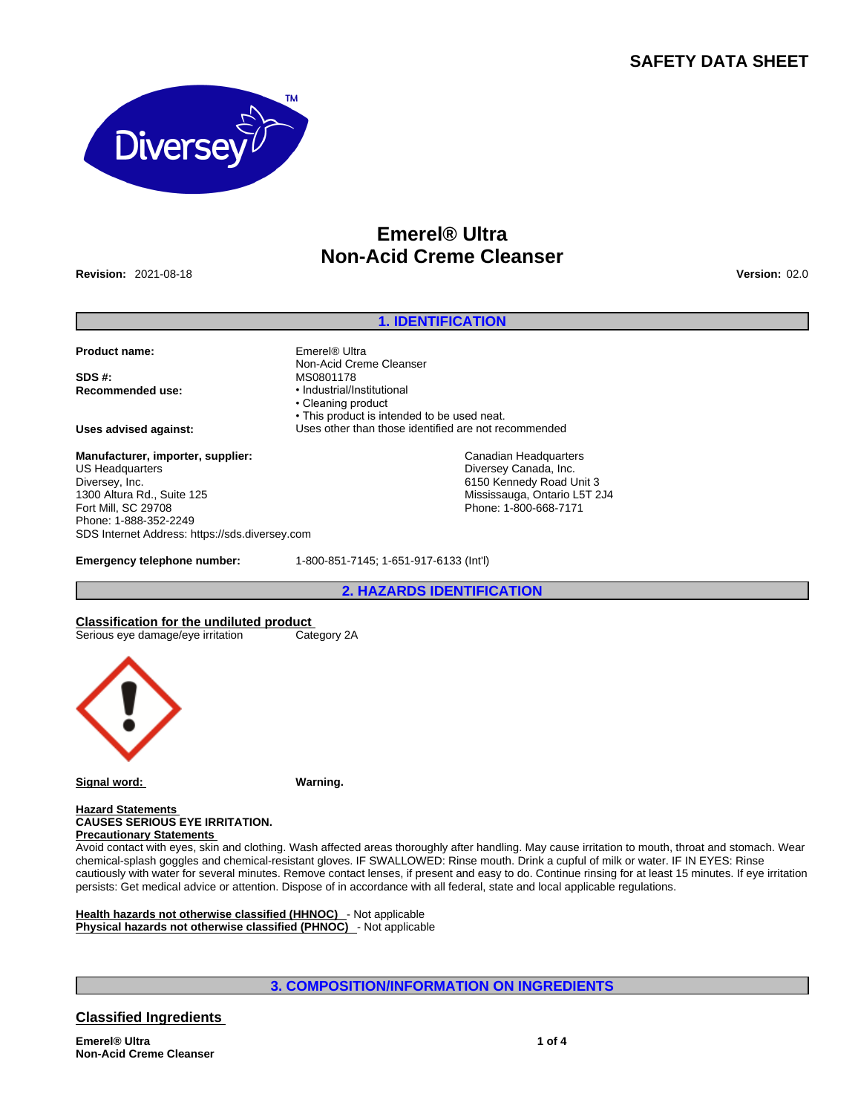# **SAFETY DATA SHEET**



# **Emerel® Ultra Non-Acid Creme Cleanser**

**Revision:** 2021-08-18 **Version:** 02.0

## **1. IDENTIFICATION**

**Product name: Emerel® Ultra** 

**SDS #: MS0801178**<br>**Recommended use: and the system of the MS0801178** 

**Manufacturer, importer, supplier:** US Headquarters Diversey, Inc. 1300 Altura Rd., Suite 125 Fort Mill, SC 29708 Phone: 1-888-352-2249 SDS Internet Address: https://sds.diversey.com

**Emergency telephone number:** 1-800-851-7145; 1-651-917-6133 (Int'l)

Non-Acid Creme Cleanser **Recommended use:** • Industrial/Institutional • Cleaning product • This product is intended to be used neat. **Uses advised against:** Uses other than those identified are not recommended

> Canadian Headquarters Diversey Canada, Inc. 6150 Kennedy Road Unit 3 Mississauga, Ontario L5T 2J4 Phone: 1-800-668-7171

**2. HAZARDS IDENTIFICATION**

**Classification for the undiluted product**

Serious eye damage/eye irritation Category 2A



**Signal word: Warning.**

**Hazard Statements CAUSES SERIOUS EYE IRRITATION. Precautionary Statements** 

Avoid contact with eyes, skin and clothing. Wash affected areas thoroughly after handling. May cause irritation to mouth, throat and stomach. Wear chemical-splash goggles and chemical-resistant gloves. IF SWALLOWED: Rinse mouth. Drink a cupful of milk or water. IF IN EYES: Rinse cautiously with water for several minutes. Remove contact lenses, if present and easy to do. Continue rinsing for at least 15 minutes. If eye irritation persists: Get medical advice or attention. Dispose of in accordance with all federal, state and local applicable regulations.

**Health hazards not otherwise classified (HHNOC)** - Not applicable **Physical hazards not otherwise classified (PHNOC)** - Not applicable

## **3. COMPOSITION/INFORMATION ON INGREDIENTS**

**Classified Ingredients**

**Emerel® Ultra Non-Acid Creme Cleanser**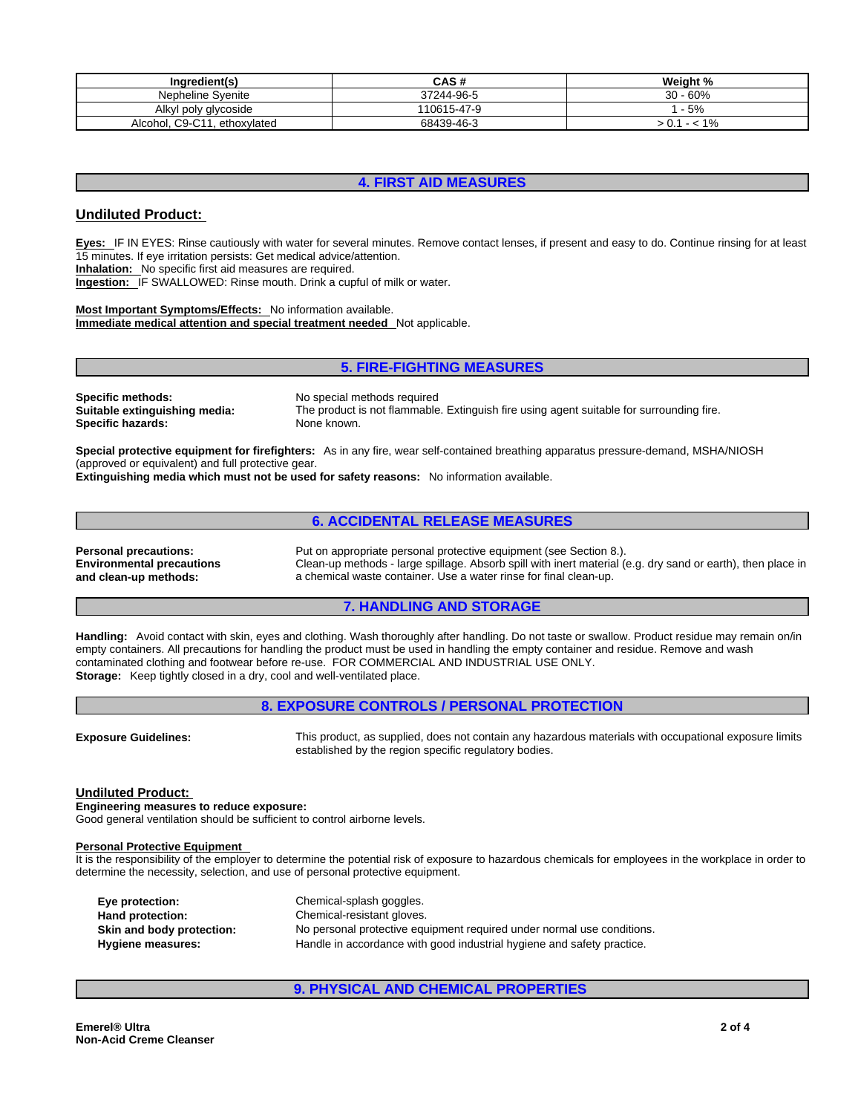| Ingredient(s)                   | CAS #       | Weiaht %   |
|---------------------------------|-------------|------------|
| Nepheline Svenite               | 37244-96-5  | $30 - 60%$ |
| Alkyl poly glycoside            | 110615-47-9 | $-5%$      |
| Alcohol, C9-C11,<br>ethoxylated | 68439-46-3  | $- < 1\%$  |

## **4. FIRST AID MEASURES**

## **Undiluted Product:**

**Eyes:** IF IN EYES: Rinse cautiously with water for several minutes. Remove contact lenses, if present and easy to do. Continue rinsing for at least 15 minutes. If eye irritation persists: Get medical advice/attention. **Inhalation:** No specific first aid measures are required. **Ingestion:** IF SWALLOWED: Rinse mouth. Drink a cupful of milk or water.

#### **Most Important Symptoms/Effects:** No information available. **Immediate medical attention and special treatment needed** Not applicable.

# **5. FIRE-FIGHTING MEASURES**

**Specific methods:** No special methods required Specific hazards: None known.

**Suitable extinguishing media:** The product is not flammable. Extinguish fire using agent suitable for surrounding fire.

**Special protective equipment for firefighters:** As in any fire, wear self-contained breathing apparatus pressure-demand, MSHA/NIOSH (approved or equivalent) and full protective gear.

**Extinguishing media which must not be used for safety reasons:** No information available.

## **6. ACCIDENTAL RELEASE MEASURES**

**Environmental precautions and clean-up methods:** 

**Personal precautions:** Put on appropriate personal protective equipment (see Section 8.). Clean-up methods - large spillage. Absorb spill with inert material (e.g. dry sand or earth), then place in a chemical waste container. Use a water rinse for final clean-up.

# **7. HANDLING AND STORAGE**

**Handling:** Avoid contact with skin, eyes and clothing. Wash thoroughly after handling. Do not taste or swallow. Product residue may remain on/in empty containers. All precautions for handling the product must be used in handling the empty container and residue. Remove and wash contaminated clothing and footwear before re-use. FOR COMMERCIAL AND INDUSTRIAL USE ONLY. **Storage:** Keep tightly closed in a dry, cool and well-ventilated place.

## **8. EXPOSURE CONTROLS / PERSONAL PROTECTION**

**Exposure Guidelines:** This product, as supplied, does not contain any hazardous materials with occupational exposure limits established by the region specific regulatory bodies.

## **Undiluted Product:**

**Engineering measures to reduce exposure:**

Good general ventilation should be sufficient to control airborne levels.

## **Personal Protective Equipment**

It is the responsibility of the employer to determine the potential risk of exposure to hazardous chemicals for employees in the workplace in order to determine the necessity, selection, and use of personal protective equipment.

| Eye protection:           | Chemical-splash goggles.                                               |
|---------------------------|------------------------------------------------------------------------|
| <b>Hand protection:</b>   | Chemical-resistant gloves.                                             |
| Skin and body protection: | No personal protective equipment required under normal use conditions. |
| Hygiene measures:         | Handle in accordance with good industrial hygiene and safety practice. |

# **9. PHYSICAL AND CHEMICAL PROPERTIES**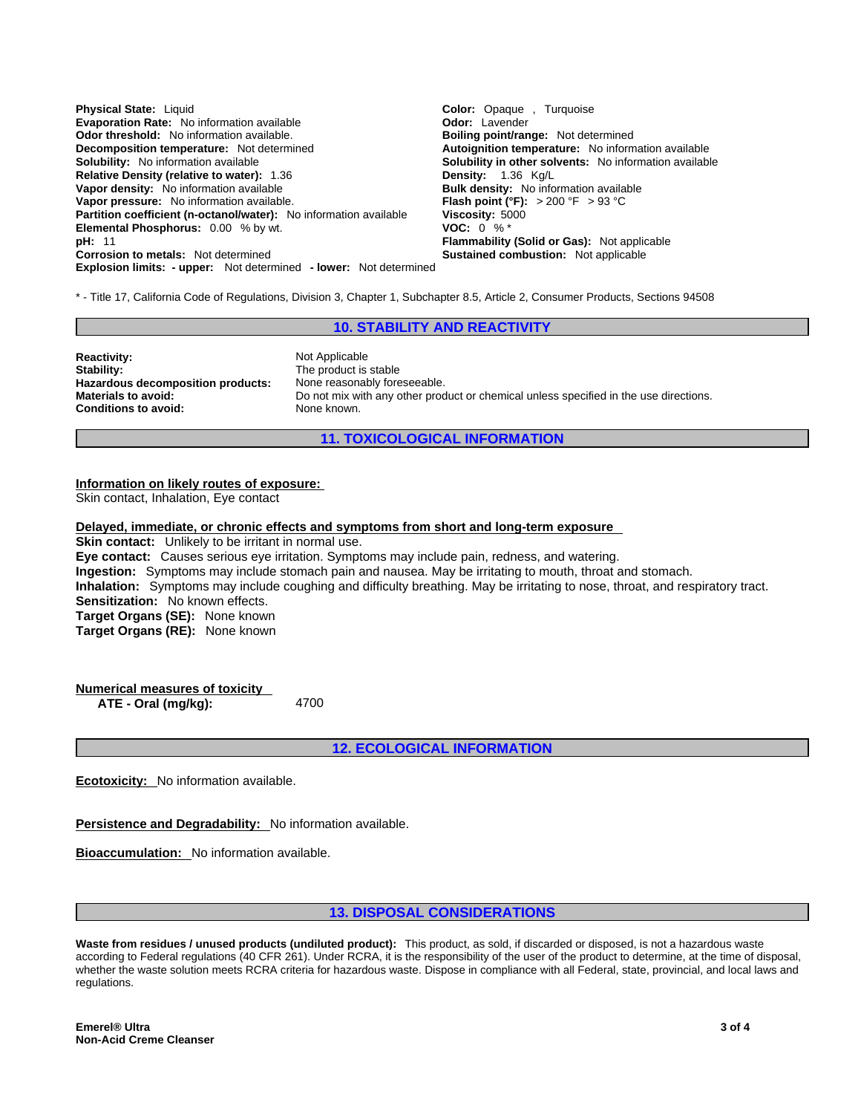**Explosion limits: - upper:** Not determined **- lower:** Not determined **Physical State:** Liquid **Color:** Color: Opaque , Turquoise **Color:** Color: Opaque , Turquoise **Color:** Color: Lavender **Evaporation Rate:** No information available **Odor threshold:** No information available. **Boiling point/range:** Not determined **Decomposition temperature:** Not determined **Boiling point/range:** Not inform **Autoignition temperature:** No information available **Solubility:** No information available **Solubility in other solvents:** No information available **Relative Density (relative to water):** 1.36 **Density:** 1.36 Kg/L **Vapor density:** No information available **Bulk density:** No information available **Vapor pressure:** No information available.<br>**Plash point (°F):** > 200 °F > 93 °C **Vapor pressure:** No information available. **Flash point (°F): Partition coefficient (n-octanol/water):** No information available **Viscosity:** 5000 **Partition coefficient (n-octanol/water):** No information available **Elemental Phosphorus:** 0.00 % by wt. **VOC:** 0 % \* **pH:** 11 **Flammability Flammability (Solid or Gas):** Not applicable **Corrosion to metals:** Not determined **Sustained combustion:** Not applicable

\* - Title 17, California Code of Regulations, Division 3, Chapter 1, Subchapter 8.5, Article 2, Consumer Products, Sections 94508

## **10. STABILITY AND REACTIVITY**

**Reactivity:** Not Applicable Stability: Not Applicable Stability: Hazardous decomposition products: None reasonably foreseeable. **Conditions to avoid:** 

The product is stable **Materials to avoid: Do not mix with any other product or chemical unless specified in the use directions.**<br> **Conditions to avoid:** None known.

**11. TOXICOLOGICAL INFORMATION**

## **Information on likely routes of exposure:**

Skin contact, Inhalation, Eye contact

### **Delayed, immediate, or chronic effects and symptoms from short and long-term exposure**

**Skin contact:** Unlikely to be irritant in normal use. **Eye contact:** Causes serious eye irritation. Symptoms may include pain, redness, and watering. **Ingestion:** Symptoms may include stomach pain and nausea. May be irritating to mouth, throat and stomach. **Inhalation:** Symptoms may include coughing and difficulty breathing. May be irritating to nose, throat, and respiratory tract. **Sensitization:** No known effects. **Target Organs (SE):** None known **Target Organs (RE):** None known

**Numerical measures of toxicity ATE** - Oral (mg/kg):

**12. ECOLOGICAL INFORMATION**

**Ecotoxicity:** No information available.

**Persistence and Degradability:** No information available.

**Bioaccumulation:** No information available.

## **13. DISPOSAL CONSIDERATIONS**

**Waste from residues / unused products (undiluted product):** This product, as sold, if discarded or disposed, is not a hazardous waste according to Federal regulations (40 CFR 261). Under RCRA, it is the responsibility of the user of the product to determine, at the time of disposal, whether the waste solution meets RCRA criteria for hazardous waste. Dispose in compliance with all Federal, state, provincial, and local laws and regulations.